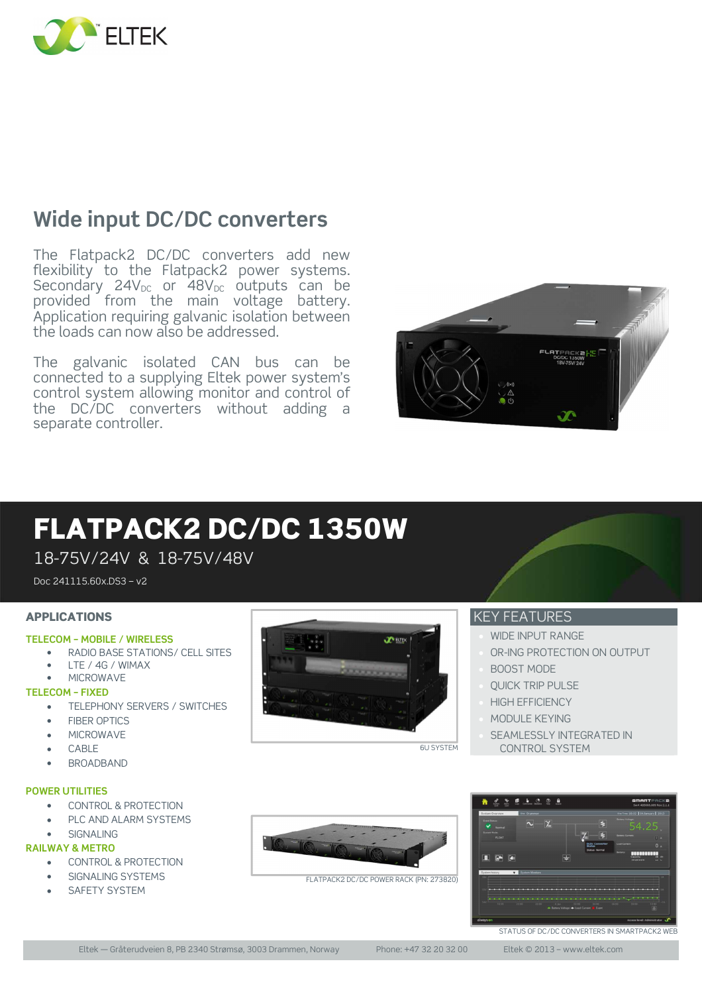

# **Wide input DC/DC converters**

The Flatpack2 DC/DC converters add new flexibility to the Flatpack2 power systems. Secondary  $24V_{DC}$  or  $48V_{DC}$  outputs can be provided from the main voltage battery. Application requiring galvanic isolation between the loads can now also be addressed.

The galvanic isolated CAN bus can be connected to a supplying Eltek power system's control system allowing monitor and control of the DC/DC converters without adding a separate controller.



# FLATPACK2 DC/DC 1350W

18-75V/24V & 18-75V/48V

Doc 241115.60x.DS3 – v2

### APPLICATIONS

#### **TELECOM – MOBILE / WIRELESS**

- RADIO BASE STATIONS/ CELL SITES
- LTE / 4G / WIMAX

## • MICROWAVE

#### **TELECOM – FIXED**

- TELEPHONY SERVERS / SWITCHES
- FIBER OPTICS
- **MICROWAVE**
- CABLE
- BROADBAND

#### **POWER UTILITIES**

- CONTROL & PROTECTION
- PLC AND ALARM SYSTEMS
- SIGNALING

#### **RAILWAY & METRO**

- CONTROL & PROTECTION
- SIGNALING SYSTEMS
- **SAFETY SYSTEM**



### KEY FEATURES

- WIDE INPUT RANGE
- OR-ING PROTECTION ON OUTPUT
- BOOST MODE
- QUICK TRIP PULSE
- HIGH EFFICIENCY
- MODULE KEYING
- **SEAMLESSLY INTEGRATED IN** CONTROL SYSTEM



FLATPACK2 DC/DC POWER RACK (PN: 273820)



Eltek — Gråterudveien 8, PB 2340 Strømsø, 3003 Drammen, Norway Phone: +47 32 20 32 00 Eltek © 2013 – www.eltek.com